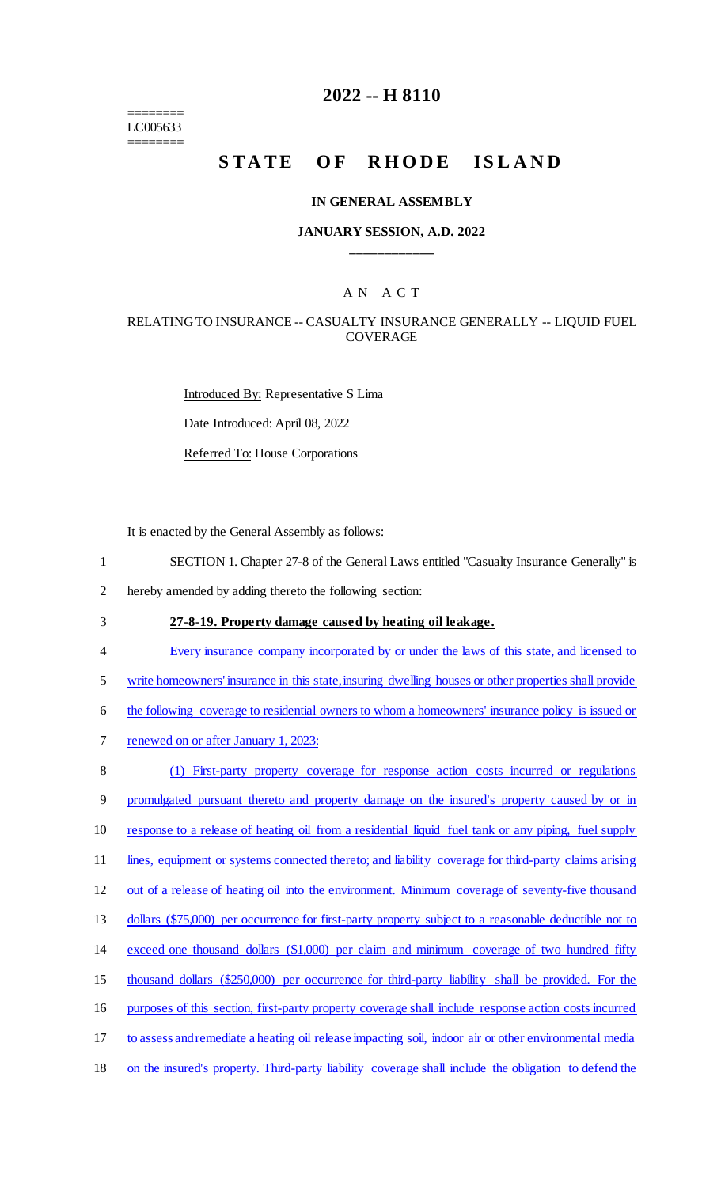======== LC005633 ========

## **2022 -- H 8110**

# STATE OF RHODE ISLAND

#### **IN GENERAL ASSEMBLY**

#### **JANUARY SESSION, A.D. 2022 \_\_\_\_\_\_\_\_\_\_\_\_**

## A N A C T

#### RELATING TO INSURANCE -- CASUALTY INSURANCE GENERALLY -- LIQUID FUEL COVERAGE

Introduced By: Representative S Lima Date Introduced: April 08, 2022 Referred To: House Corporations

It is enacted by the General Assembly as follows:

- 1 SECTION 1. Chapter 27-8 of the General Laws entitled "Casualty Insurance Generally" is
- 2 hereby amended by adding thereto the following section:
- 3 **27-8-19. Property damage caused by heating oil leakage.**
- 4 Every insurance company incorporated by or under the laws of this state, and licensed to
- 5 write homeowners' insurance in this state, insuring dwelling houses or other properties shall provide
- 6 the following coverage to residential owners to whom a homeowners' insurance policy is issued or
- 7 renewed on or after January 1, 2023:

 (1) First-party property coverage for response action costs incurred or regulations promulgated pursuant thereto and property damage on the insured's property caused by or in response to a release of heating oil from a residential liquid fuel tank or any piping, fuel supply 11 lines, equipment or systems connected thereto; and liability coverage for third-party claims arising out of a release of heating oil into the environment. Minimum coverage of seventy-five thousand 13 dollars (\$75,000) per occurrence for first-party property subject to a reasonable deductible not to exceed one thousand dollars (\$1,000) per claim and minimum coverage of two hundred fifty thousand dollars (\$250,000) per occurrence for third-party liability shall be provided. For the purposes of this section, first-party property coverage shall include response action costs incurred

- 17 to assess and remediate a heating oil release impacting soil, indoor air or other environmental media
- 18 on the insured's property. Third-party liability coverage shall include the obligation to defend the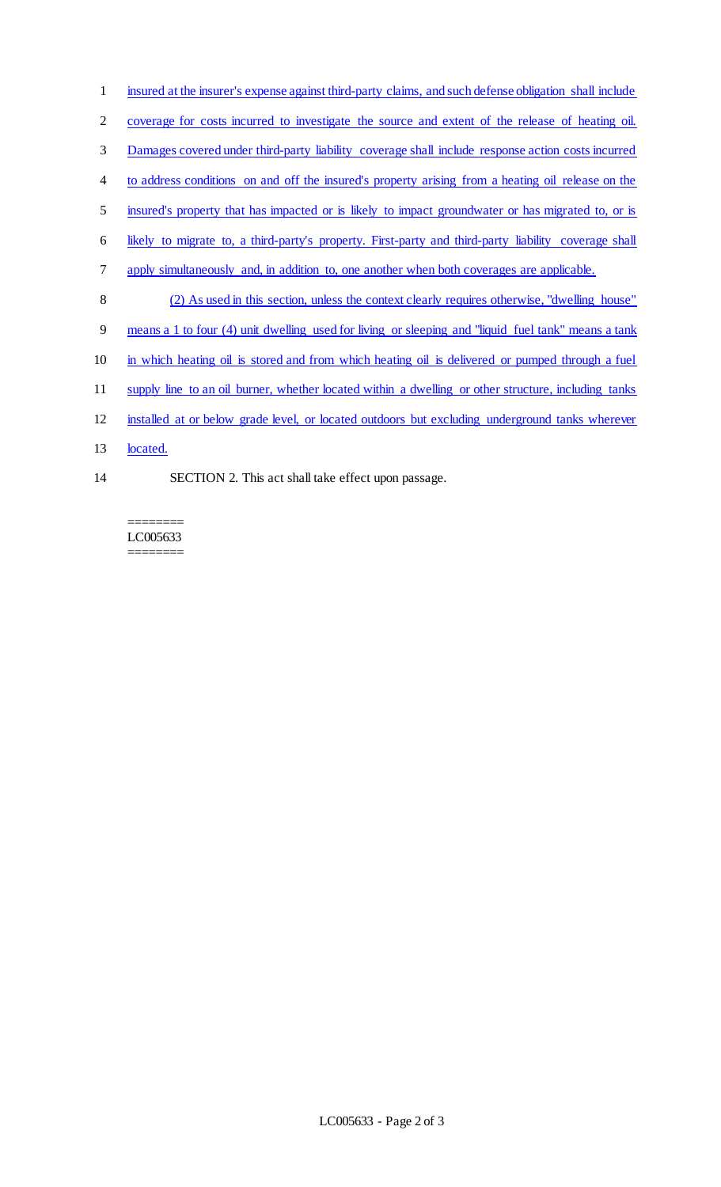- insured at the insurer's expense against third-party claims, and such defense obligation shall include
- coverage for costs incurred to investigate the source and extent of the release of heating oil.
- Damages covered under third-party liability coverage shall include response action costs incurred
- to address conditions on and off the insured's property arising from a heating oil release on the
- insured's property that has impacted or is likely to impact groundwater or has migrated to, or is
- likely to migrate to, a third-party's property. First-party and third-party liability coverage shall
- apply simultaneously and, in addition to, one another when both coverages are applicable.
- (2) As used in this section, unless the context clearly requires otherwise, "dwelling house"
- means a 1 to four (4) unit dwelling used for living or sleeping and "liquid fuel tank" means a tank
- in which heating oil is stored and from which heating oil is delivered or pumped through a fuel
- supply line to an oil burner, whether located within a dwelling or other structure, including tanks
- installed at or below grade level, or located outdoors but excluding underground tanks wherever
- 13 located.
- 
- SECTION 2. This act shall take effect upon passage.

======== LC005633 ========